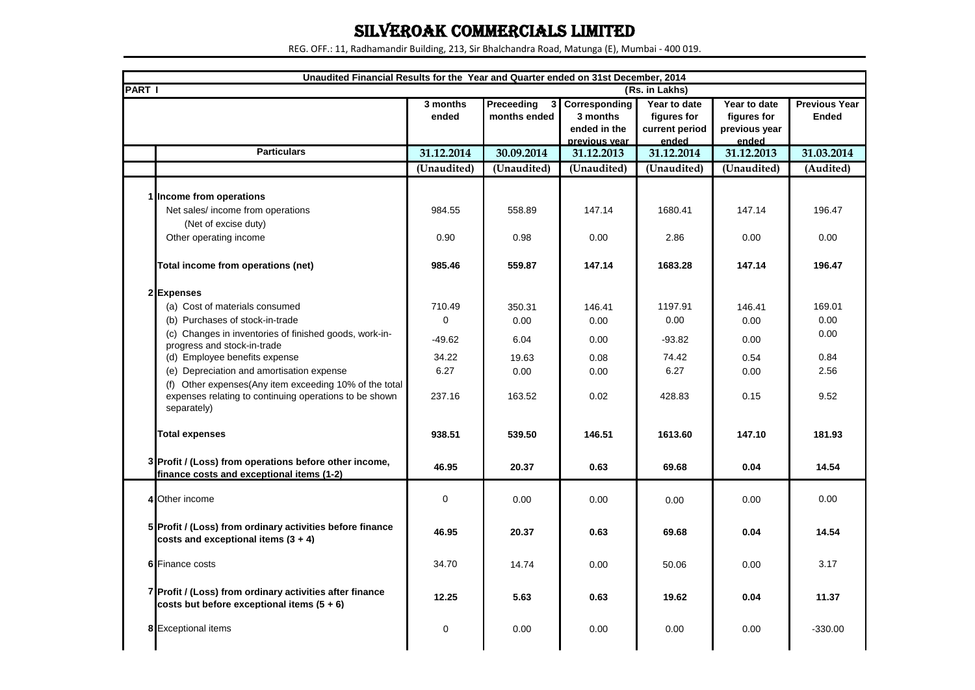## SILVEROAK COMMERCIALS LIMITED

REG. OFF.: 11, Radhamandir Building, 213, Sir Bhalchandra Road, Matunga (E), Mumbai - 400 019.

| Unaudited Financial Results for the Year and Quarter ended on 31st December, 2014<br><b>PART I</b>                              |                   |                                   |                                                              |                                                                          |                                                       |                                      |
|---------------------------------------------------------------------------------------------------------------------------------|-------------------|-----------------------------------|--------------------------------------------------------------|--------------------------------------------------------------------------|-------------------------------------------------------|--------------------------------------|
|                                                                                                                                 | 3 months<br>ended | <b>Preceeding</b><br>months ended | 3 Corresponding<br>3 months<br>ended in the<br>previous vear | (Rs. in Lakhs)<br>Year to date<br>figures for<br>current period<br>ended | Year to date<br>figures for<br>previous year<br>ended | <b>Previous Year</b><br><b>Ended</b> |
| <b>Particulars</b>                                                                                                              | 31.12.2014        | 30.09.2014                        | 31.12.2013                                                   | 31.12.2014                                                               | 31.12.2013                                            | 31.03.2014                           |
|                                                                                                                                 | (Unaudited)       | (Unaudited)                       | (Unaudited)                                                  | (Unaudited)                                                              | (Unaudited)                                           | (Audited)                            |
| 1 Income from operations                                                                                                        |                   |                                   |                                                              |                                                                          |                                                       |                                      |
| Net sales/income from operations                                                                                                | 984.55            | 558.89                            | 147.14                                                       | 1680.41                                                                  | 147.14                                                | 196.47                               |
| (Net of excise duty)                                                                                                            |                   |                                   |                                                              |                                                                          |                                                       |                                      |
| Other operating income                                                                                                          | 0.90              | 0.98                              | 0.00                                                         | 2.86                                                                     | 0.00                                                  | 0.00                                 |
| Total income from operations (net)                                                                                              | 985.46            | 559.87                            | 147.14                                                       | 1683.28                                                                  | 147.14                                                | 196.47                               |
| 2 Expenses                                                                                                                      |                   |                                   |                                                              |                                                                          |                                                       |                                      |
| (a) Cost of materials consumed                                                                                                  | 710.49            | 350.31                            | 146.41                                                       | 1197.91                                                                  | 146.41                                                | 169.01                               |
| (b) Purchases of stock-in-trade                                                                                                 | 0                 | 0.00                              | 0.00                                                         | 0.00                                                                     | 0.00                                                  | 0.00                                 |
| (c) Changes in inventories of finished goods, work-in-                                                                          | $-49.62$          | 6.04                              | 0.00                                                         | $-93.82$                                                                 | 0.00                                                  | 0.00                                 |
| progress and stock-in-trade                                                                                                     |                   |                                   |                                                              |                                                                          |                                                       |                                      |
| (d) Employee benefits expense                                                                                                   | 34.22             | 19.63                             | 0.08                                                         | 74.42                                                                    | 0.54                                                  | 0.84                                 |
| (e) Depreciation and amortisation expense                                                                                       | 6.27              | 0.00                              | 0.00                                                         | 6.27                                                                     | 0.00                                                  | 2.56                                 |
| (f) Other expenses(Any item exceeding 10% of the total<br>expenses relating to continuing operations to be shown<br>separately) | 237.16            | 163.52                            | 0.02                                                         | 428.83                                                                   | 0.15                                                  | 9.52                                 |
| <b>Total expenses</b>                                                                                                           | 938.51            | 539.50                            | 146.51                                                       | 1613.60                                                                  | 147.10                                                | 181.93                               |
| 3 Profit / (Loss) from operations before other income,<br>finance costs and exceptional items (1-2)                             | 46.95             | 20.37                             | 0.63                                                         | 69.68                                                                    | 0.04                                                  | 14.54                                |
| 4 Other income                                                                                                                  | 0                 | 0.00                              | 0.00                                                         | 0.00                                                                     | 0.00                                                  | 0.00                                 |
| 5 Profit / (Loss) from ordinary activities before finance<br>costs and exceptional items $(3 + 4)$                              | 46.95             | 20.37                             | 0.63                                                         | 69.68                                                                    | 0.04                                                  | 14.54                                |
| <b>6</b> Finance costs                                                                                                          | 34.70             | 14.74                             | 0.00                                                         | 50.06                                                                    | 0.00                                                  | 3.17                                 |
| 7 Profit / (Loss) from ordinary activities after finance<br>costs but before exceptional items $(5 + 6)$                        | 12.25             | 5.63                              | 0.63                                                         | 19.62                                                                    | 0.04                                                  | 11.37                                |
| 8 Exceptional items                                                                                                             | 0                 | 0.00                              | 0.00                                                         | 0.00                                                                     | 0.00                                                  | $-330.00$                            |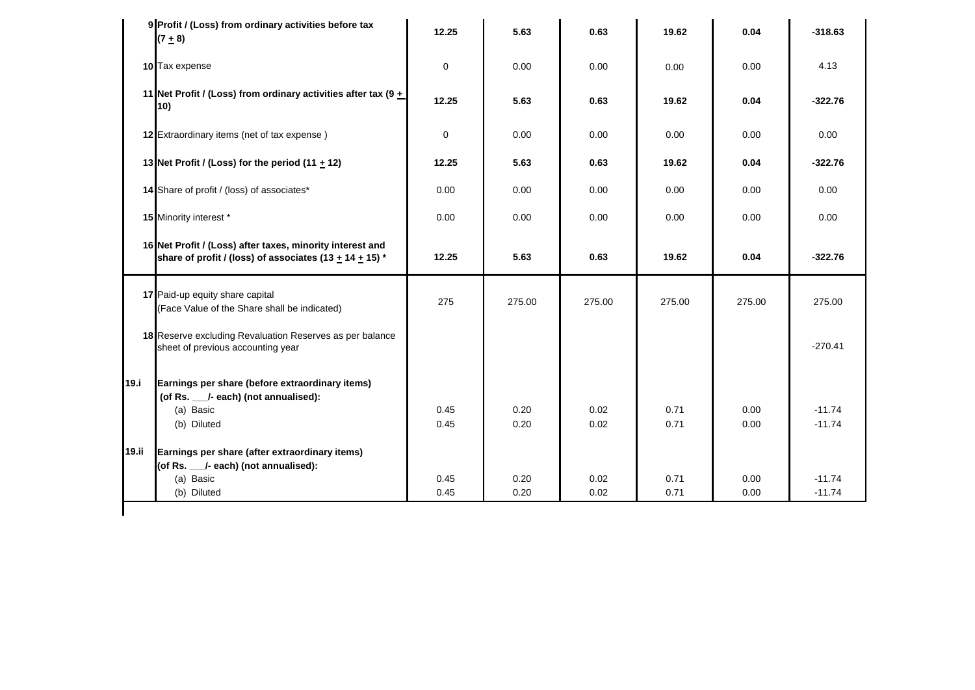|       | 9 Profit / (Loss) from ordinary activities before tax<br>$(7 \pm 8)$                                                         | 12.25        | 5.63         | 0.63         | 19.62        | 0.04         | $-318.63$            |
|-------|------------------------------------------------------------------------------------------------------------------------------|--------------|--------------|--------------|--------------|--------------|----------------------|
|       | 10 Tax expense                                                                                                               | $\mathbf 0$  | 0.00         | 0.00         | 0.00         | 0.00         | 4.13                 |
|       | 11 Net Profit / (Loss) from ordinary activities after tax (9 $+$<br>10)                                                      | 12.25        | 5.63         | 0.63         | 19.62        | 0.04         | $-322.76$            |
|       | 12 Extraordinary items (net of tax expense)                                                                                  | $\mathbf 0$  | 0.00         | 0.00         | 0.00         | 0.00         | 0.00                 |
|       | 13 Net Profit / (Loss) for the period (11 $\pm$ 12)                                                                          | 12.25        | 5.63         | 0.63         | 19.62        | 0.04         | $-322.76$            |
|       | 14 Share of profit / (loss) of associates*                                                                                   | 0.00         | 0.00         | 0.00         | 0.00         | 0.00         | 0.00                 |
|       | 15 Minority interest *                                                                                                       | 0.00         | 0.00         | 0.00         | 0.00         | 0.00         | 0.00                 |
|       | 16 Net Profit / (Loss) after taxes, minority interest and<br>share of profit / (loss) of associates (13 $\pm$ 14 $\pm$ 15) * | 12.25        | 5.63         | 0.63         | 19.62        | 0.04         | $-322.76$            |
|       | 17 Paid-up equity share capital<br>(Face Value of the Share shall be indicated)                                              | 275          | 275.00       | 275.00       | 275.00       | 275.00       | 275.00               |
|       | 18 Reserve excluding Revaluation Reserves as per balance<br>sheet of previous accounting year                                |              |              |              |              |              | $-270.41$            |
| 19.i  | Earnings per share (before extraordinary items)<br>(of Rs. __/- each) (not annualised):<br>(a) Basic                         | 0.45         | 0.20         | 0.02         | 0.71         | 0.00         | $-11.74$             |
|       | (b) Diluted                                                                                                                  | 0.45         | 0.20         | 0.02         | 0.71         | 0.00         | $-11.74$             |
| 19.ii | Earnings per share (after extraordinary items)<br>(of Rs. __/- each) (not annualised):                                       |              |              |              |              |              |                      |
|       | (a) Basic<br>(b) Diluted                                                                                                     | 0.45<br>0.45 | 0.20<br>0.20 | 0.02<br>0.02 | 0.71<br>0.71 | 0.00<br>0.00 | $-11.74$<br>$-11.74$ |